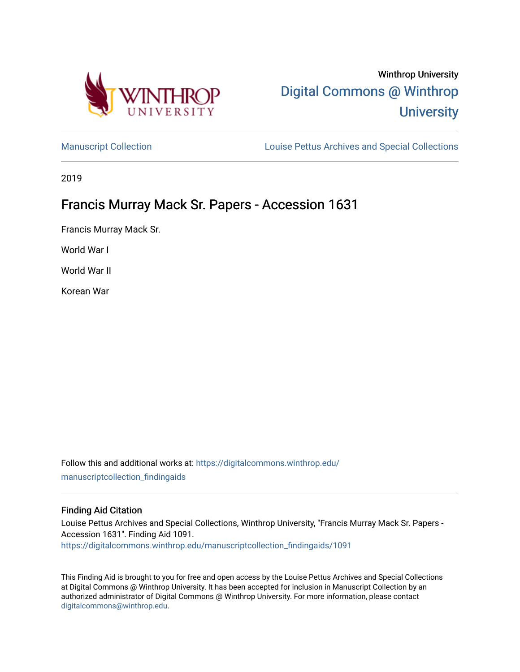

# Winthrop University [Digital Commons @ Winthrop](https://digitalcommons.winthrop.edu/)  **University**

[Manuscript Collection](https://digitalcommons.winthrop.edu/manuscriptcollection_findingaids) **Louise Pettus Archives and Special Collections** 

2019

# Francis Murray Mack Sr. Papers - Accession 1631

Francis Murray Mack Sr.

World War I

World War II

Korean War

Follow this and additional works at: [https://digitalcommons.winthrop.edu/](https://digitalcommons.winthrop.edu/manuscriptcollection_findingaids?utm_source=digitalcommons.winthrop.edu%2Fmanuscriptcollection_findingaids%2F1091&utm_medium=PDF&utm_campaign=PDFCoverPages) [manuscriptcollection\\_findingaids](https://digitalcommons.winthrop.edu/manuscriptcollection_findingaids?utm_source=digitalcommons.winthrop.edu%2Fmanuscriptcollection_findingaids%2F1091&utm_medium=PDF&utm_campaign=PDFCoverPages) 

#### Finding Aid Citation

Louise Pettus Archives and Special Collections, Winthrop University, "Francis Murray Mack Sr. Papers - Accession 1631". Finding Aid 1091. [https://digitalcommons.winthrop.edu/manuscriptcollection\\_findingaids/1091](https://digitalcommons.winthrop.edu/manuscriptcollection_findingaids/1091?utm_source=digitalcommons.winthrop.edu%2Fmanuscriptcollection_findingaids%2F1091&utm_medium=PDF&utm_campaign=PDFCoverPages) 

This Finding Aid is brought to you for free and open access by the Louise Pettus Archives and Special Collections at Digital Commons @ Winthrop University. It has been accepted for inclusion in Manuscript Collection by an authorized administrator of Digital Commons @ Winthrop University. For more information, please contact [digitalcommons@winthrop.edu](mailto:digitalcommons@winthrop.edu).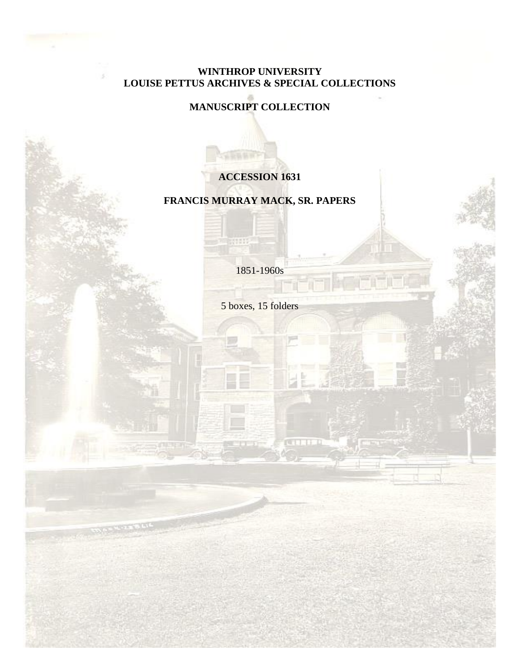## **WINTHROP UNIVERSITY LOUISE PETTUS ARCHIVES & SPECIAL COLLECTIONS**

## **MANUSCRIPT COLLECTION**

## **ACCESSION 1631**

## **FRANCIS MURRAY MACK, SR. PAPERS**

1851-1960s

111

5 boxes, 15 folders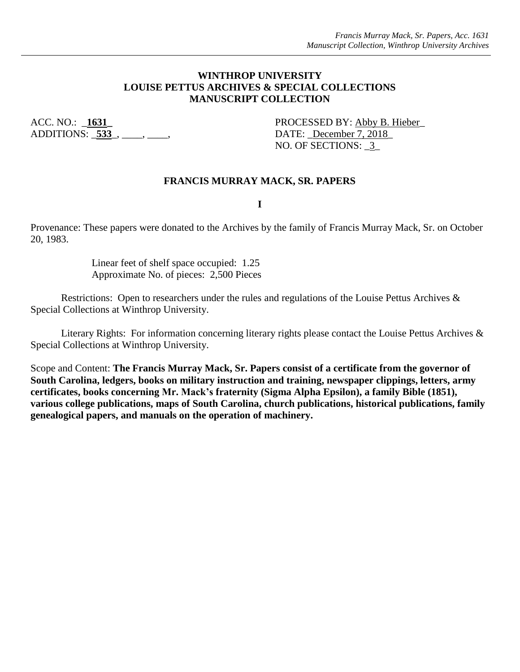#### **WINTHROP UNIVERSITY LOUISE PETTUS ARCHIVES & SPECIAL COLLECTIONS MANUSCRIPT COLLECTION**

ADDITIONS: **533**<sub>\_</sub>, \_\_\_\_, \_\_\_\_, DATE: <u>December 7, 2018</u>

ACC. NO.: **1631** PROCESSED BY: Abby B. Hieber NO. OF SECTIONS: 3

#### **FRANCIS MURRAY MACK, SR. PAPERS**

**I**

Provenance: These papers were donated to the Archives by the family of Francis Murray Mack, Sr. on October 20, 1983.

> Linear feet of shelf space occupied: 1.25 Approximate No. of pieces: 2,500 Pieces

Restrictions: Open to researchers under the rules and regulations of the Louise Pettus Archives & Special Collections at Winthrop University.

Literary Rights: For information concerning literary rights please contact the Louise Pettus Archives & Special Collections at Winthrop University.

Scope and Content: **The Francis Murray Mack, Sr. Papers consist of a certificate from the governor of South Carolina, ledgers, books on military instruction and training, newspaper clippings, letters, army certificates, books concerning Mr. Mack's fraternity (Sigma Alpha Epsilon), a family Bible (1851), various college publications, maps of South Carolina, church publications, historical publications, family genealogical papers, and manuals on the operation of machinery.**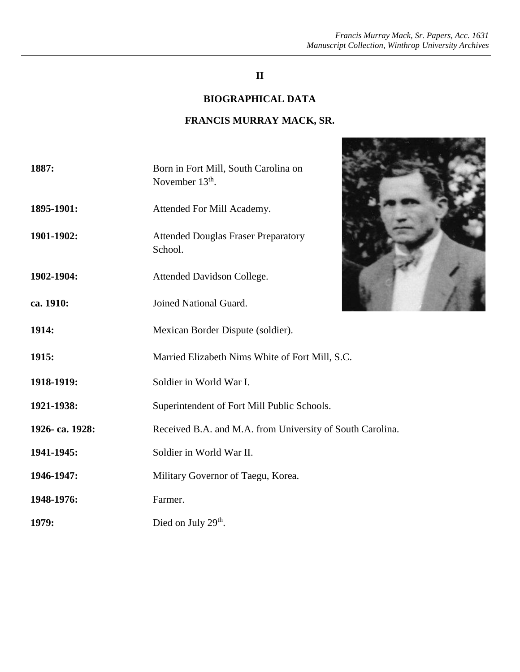## **II**

### **BIOGRAPHICAL DATA**

## **FRANCIS MURRAY MACK, SR.**

| 1887:          | Born in Fort Mill, South Carolina on<br>November $13th$ . |
|----------------|-----------------------------------------------------------|
| 1895-1901:     | Attended For Mill Academy.                                |
| 1901-1902:     | <b>Attended Douglas Fraser Preparatory</b><br>School.     |
| 1902-1904:     | Attended Davidson College.                                |
| ca. 1910:      | Joined National Guard.                                    |
| 1914:          | Mexican Border Dispute (soldier).                         |
| 1915:          | Married Elizabeth Nims White of Fort Mill, S.C.           |
| 1918-1919:     | Soldier in World War I.                                   |
| 1921-1938:     | Superintendent of Fort Mill Public Schools.               |
| 1926-ca. 1928: | Received B.A. and M.A. from University of South Carolina. |
| 1941-1945:     | Soldier in World War II.                                  |
| 1946-1947:     | Military Governor of Taegu, Korea.                        |
| 1948-1976:     | Farmer.                                                   |
| 1979:          | Died on July $29th$ .                                     |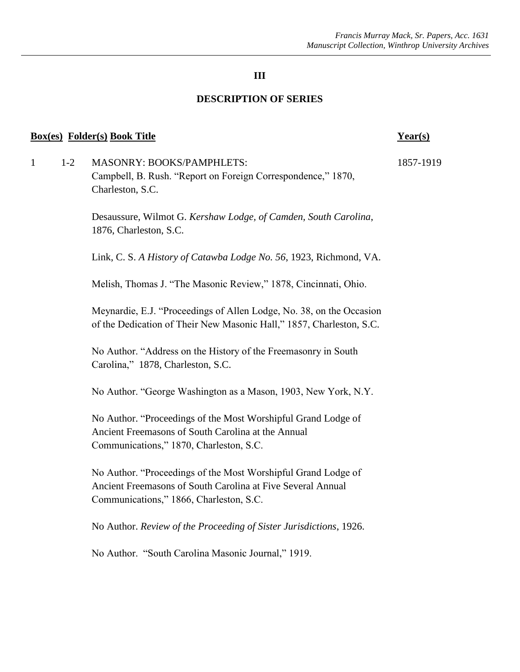#### **DESCRIPTION OF SERIES**

#### **Box(es) Folder(s) Book Title Year(s)**

1 1-2 MASONRY: BOOKS/PAMPHLETS: 1857-1919 Campbell, B. Rush. "Report on Foreign Correspondence," 1870, Charleston, S.C.

> Desaussure, Wilmot G. *Kershaw Lodge, of Camden, South Carolina*, 1876, Charleston, S.C.

Link, C. S. *A History of Catawba Lodge No. 56*, 1923, Richmond, VA.

Melish, Thomas J. "The Masonic Review," 1878, Cincinnati, Ohio.

Meynardie, E.J. "Proceedings of Allen Lodge, No. 38, on the Occasion of the Dedication of Their New Masonic Hall," 1857, Charleston, S.C.

No Author. "Address on the History of the Freemasonry in South Carolina," 1878, Charleston, S.C.

No Author. "George Washington as a Mason, 1903, New York, N.Y.

No Author. "Proceedings of the Most Worshipful Grand Lodge of Ancient Freemasons of South Carolina at the Annual Communications," 1870, Charleston, S.C.

No Author. "Proceedings of the Most Worshipful Grand Lodge of Ancient Freemasons of South Carolina at Five Several Annual Communications," 1866, Charleston, S.C.

No Author. *Review of the Proceeding of Sister Jurisdictions*, 1926.

No Author. "South Carolina Masonic Journal," 1919.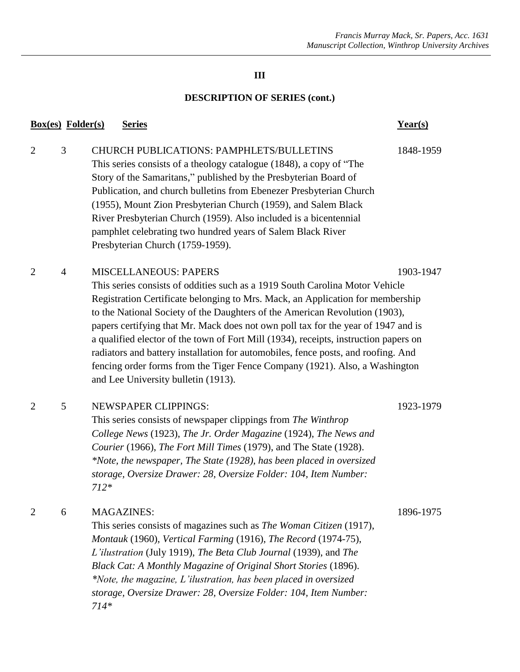## **DESCRIPTION OF SERIES (cont.)**

|                | <b>Box(es)</b> Folder(s) | <b>Series</b>                                                                                                                                                                                                                                                                                                                                                                                                                                                                                                                                                                                                                                                         | Year(s)   |
|----------------|--------------------------|-----------------------------------------------------------------------------------------------------------------------------------------------------------------------------------------------------------------------------------------------------------------------------------------------------------------------------------------------------------------------------------------------------------------------------------------------------------------------------------------------------------------------------------------------------------------------------------------------------------------------------------------------------------------------|-----------|
| $\overline{2}$ | 3                        | <b>CHURCH PUBLICATIONS: PAMPHLETS/BULLETINS</b><br>This series consists of a theology catalogue (1848), a copy of "The<br>Story of the Samaritans," published by the Presbyterian Board of<br>Publication, and church bulletins from Ebenezer Presbyterian Church<br>(1955), Mount Zion Presbyterian Church (1959), and Salem Black<br>River Presbyterian Church (1959). Also included is a bicentennial<br>pamphlet celebrating two hundred years of Salem Black River<br>Presbyterian Church (1759-1959).                                                                                                                                                           | 1848-1959 |
| $\overline{2}$ | 4                        | <b>MISCELLANEOUS: PAPERS</b><br>This series consists of oddities such as a 1919 South Carolina Motor Vehicle<br>Registration Certificate belonging to Mrs. Mack, an Application for membership<br>to the National Society of the Daughters of the American Revolution (1903),<br>papers certifying that Mr. Mack does not own poll tax for the year of 1947 and is<br>a qualified elector of the town of Fort Mill (1934), receipts, instruction papers on<br>radiators and battery installation for automobiles, fence posts, and roofing. And<br>fencing order forms from the Tiger Fence Company (1921). Also, a Washington<br>and Lee University bulletin (1913). | 1903-1947 |
| $\overline{2}$ | 5                        | <b>NEWSPAPER CLIPPINGS:</b><br>This series consists of newspaper clippings from The Winthrop<br>College News (1923), The Jr. Order Magazine (1924), The News and<br>Courier (1966), The Fort Mill Times (1979), and The State (1928).<br>*Note, the newspaper, The State (1928), has been placed in oversized<br>storage, Oversize Drawer: 28, Oversize Folder: 104, Item Number:<br>$712*$                                                                                                                                                                                                                                                                           | 1923-1979 |
| $\overline{2}$ | 6                        | <b>MAGAZINES:</b><br>This series consists of magazines such as The Woman Citizen (1917),<br>Montauk (1960), Vertical Farming (1916), The Record (1974-75),<br>L'ilustration (July 1919), The Beta Club Journal (1939), and The<br>Black Cat: A Monthly Magazine of Original Short Stories (1896).<br>*Note, the magazine, L'ilustration, has been placed in oversized<br>storage, Oversize Drawer: 28, Oversize Folder: 104, Item Number:<br>$714*$                                                                                                                                                                                                                   | 1896-1975 |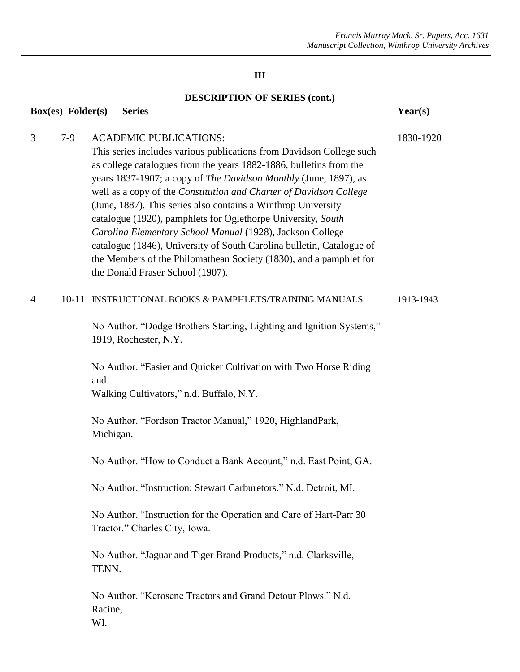## **DESCRIPTION OF SERIES (cont.)**

| <b>Box(es)</b> Folder(s) |           | <b>Series</b>                                                                                                                                                                                                                                                                                                                                                                                                                                                                                                                                                                                                                                                                                          | Year(s)   |
|--------------------------|-----------|--------------------------------------------------------------------------------------------------------------------------------------------------------------------------------------------------------------------------------------------------------------------------------------------------------------------------------------------------------------------------------------------------------------------------------------------------------------------------------------------------------------------------------------------------------------------------------------------------------------------------------------------------------------------------------------------------------|-----------|
| 3                        | $7-9$     | <b>ACADEMIC PUBLICATIONS:</b><br>This series includes various publications from Davidson College such<br>as college catalogues from the years 1882-1886, bulletins from the<br>years 1837-1907; a copy of The Davidson Monthly (June, 1897), as<br>well as a copy of the Constitution and Charter of Davidson College<br>(June, 1887). This series also contains a Winthrop University<br>catalogue (1920), pamphlets for Oglethorpe University, South<br>Carolina Elementary School Manual (1928), Jackson College<br>catalogue (1846), University of South Carolina bulletin, Catalogue of<br>the Members of the Philomathean Society (1830), and a pamphlet for<br>the Donald Fraser School (1907). | 1830-1920 |
| 4                        | $10 - 11$ | INSTRUCTIONAL BOOKS & PAMPHLETS/TRAINING MANUALS                                                                                                                                                                                                                                                                                                                                                                                                                                                                                                                                                                                                                                                       | 1913-1943 |
|                          |           | No Author. "Dodge Brothers Starting, Lighting and Ignition Systems,"<br>1919, Rochester, N.Y.                                                                                                                                                                                                                                                                                                                                                                                                                                                                                                                                                                                                          |           |
|                          |           | No Author. "Easier and Quicker Cultivation with Two Horse Riding<br>and<br>Walking Cultivators," n.d. Buffalo, N.Y.                                                                                                                                                                                                                                                                                                                                                                                                                                                                                                                                                                                    |           |
|                          |           | No Author. "Fordson Tractor Manual," 1920, HighlandPark,<br>Michigan.                                                                                                                                                                                                                                                                                                                                                                                                                                                                                                                                                                                                                                  |           |
|                          |           | No Author. "How to Conduct a Bank Account," n.d. East Point, GA.                                                                                                                                                                                                                                                                                                                                                                                                                                                                                                                                                                                                                                       |           |
|                          |           | No Author. "Instruction: Stewart Carburetors." N.d. Detroit, MI.                                                                                                                                                                                                                                                                                                                                                                                                                                                                                                                                                                                                                                       |           |
|                          |           | No Author. "Instruction for the Operation and Care of Hart-Parr 30<br>Tractor." Charles City, Iowa.                                                                                                                                                                                                                                                                                                                                                                                                                                                                                                                                                                                                    |           |
|                          |           | No Author. "Jaguar and Tiger Brand Products," n.d. Clarksville,<br>TENN.                                                                                                                                                                                                                                                                                                                                                                                                                                                                                                                                                                                                                               |           |
|                          |           | No Author. "Kerosene Tractors and Grand Detour Plows." N.d.<br>Racine,                                                                                                                                                                                                                                                                                                                                                                                                                                                                                                                                                                                                                                 |           |

WI.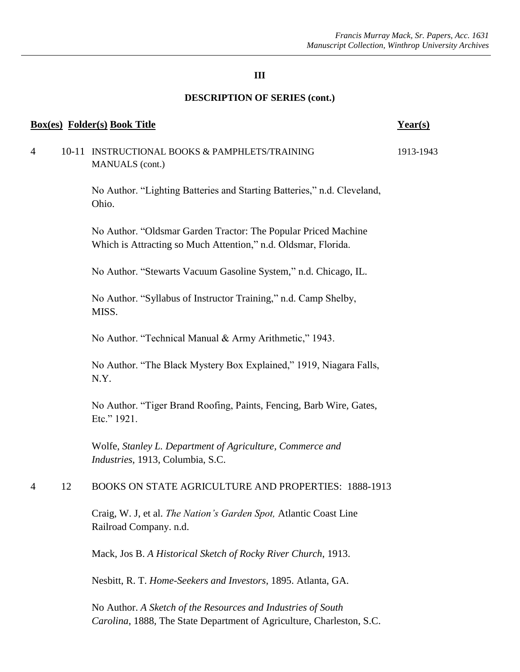### **DESCRIPTION OF SERIES (cont.)**

| <b>Box(es)</b> Folder(s) Book Title |           |                                                                                                                                  | Year(s)   |
|-------------------------------------|-----------|----------------------------------------------------------------------------------------------------------------------------------|-----------|
| 4                                   | $10 - 11$ | INSTRUCTIONAL BOOKS & PAMPHLETS/TRAINING<br>MANUALS (cont.)                                                                      | 1913-1943 |
|                                     |           | No Author. "Lighting Batteries and Starting Batteries," n.d. Cleveland,<br>Ohio.                                                 |           |
|                                     |           | No Author. "Oldsmar Garden Tractor: The Popular Priced Machine<br>Which is Attracting so Much Attention," n.d. Oldsmar, Florida. |           |
|                                     |           | No Author. "Stewarts Vacuum Gasoline System," n.d. Chicago, IL.                                                                  |           |
|                                     |           | No Author. "Syllabus of Instructor Training," n.d. Camp Shelby,<br>MISS.                                                         |           |
|                                     |           | No Author. "Technical Manual & Army Arithmetic," 1943.                                                                           |           |
|                                     |           | No Author. "The Black Mystery Box Explained," 1919, Niagara Falls,<br>N.Y.                                                       |           |
|                                     |           | No Author. "Tiger Brand Roofing, Paints, Fencing, Barb Wire, Gates,<br>Etc." 1921.                                               |           |
|                                     |           | Wolfe, Stanley L. Department of Agriculture, Commerce and<br>Industries, 1913, Columbia, S.C.                                    |           |
| 4                                   | 12        | <b>BOOKS ON STATE AGRICULTURE AND PROPERTIES: 1888-1913</b>                                                                      |           |
|                                     |           | Craig, W. J, et al. The Nation's Garden Spot, Atlantic Coast Line<br>Railroad Company. n.d.                                      |           |
|                                     |           | Mack, Jos B. A Historical Sketch of Rocky River Church, 1913.                                                                    |           |
|                                     |           | Nesbitt, R. T. Home-Seekers and Investors, 1895. Atlanta, GA.                                                                    |           |
|                                     |           |                                                                                                                                  |           |

No Author. *A Sketch of the Resources and Industries of South Carolina*, 1888, The State Department of Agriculture, Charleston, S.C.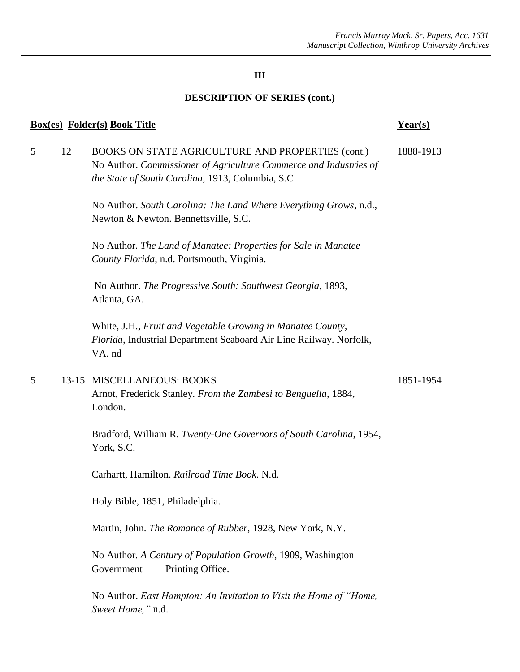## **DESCRIPTION OF SERIES (cont.)**

| <b>Box(es)</b> Folder(s) Book Title |    | $Year(s)$                                                                                                                                                                   |           |
|-------------------------------------|----|-----------------------------------------------------------------------------------------------------------------------------------------------------------------------------|-----------|
| 5                                   | 12 | BOOKS ON STATE AGRICULTURE AND PROPERTIES (cont.)<br>No Author. Commissioner of Agriculture Commerce and Industries of<br>the State of South Carolina, 1913, Columbia, S.C. | 1888-1913 |
|                                     |    | No Author. South Carolina: The Land Where Everything Grows, n.d.,<br>Newton & Newton. Bennettsville, S.C.                                                                   |           |
|                                     |    | No Author. The Land of Manatee: Properties for Sale in Manatee<br>County Florida, n.d. Portsmouth, Virginia.                                                                |           |
|                                     |    | No Author. The Progressive South: Southwest Georgia, 1893,<br>Atlanta, GA.                                                                                                  |           |
|                                     |    | White, J.H., Fruit and Vegetable Growing in Manatee County,<br>Florida, Industrial Department Seaboard Air Line Railway. Norfolk,<br>VA. nd                                 |           |
| 5                                   |    | 13-15 MISCELLANEOUS: BOOKS<br>Arnot, Frederick Stanley. From the Zambesi to Benguella, 1884,<br>London.                                                                     | 1851-1954 |
|                                     |    | Bradford, William R. Twenty-One Governors of South Carolina, 1954,<br>York, S.C.                                                                                            |           |
|                                     |    | Carhartt, Hamilton. Railroad Time Book. N.d.                                                                                                                                |           |
|                                     |    | Holy Bible, 1851, Philadelphia.                                                                                                                                             |           |
|                                     |    | Martin, John. The Romance of Rubber, 1928, New York, N.Y.                                                                                                                   |           |
|                                     |    | No Author. A Century of Population Growth, 1909, Washington<br>Government<br>Printing Office.                                                                               |           |
|                                     |    | No Author. East Hampton: An Invitation to Visit the Home of "Home,<br>Sweet Home," n.d.                                                                                     |           |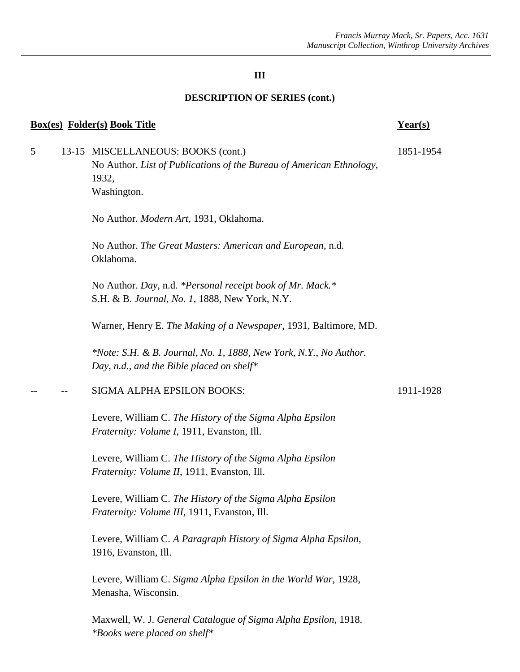#### **DESCRIPTION OF SERIES (cont.)**

#### **Box(es) Folder(s) Book Title Year(s)**

5 13-15 MISCELLANEOUS: BOOKS (cont.) 1851-1954 No Author. *List of Publications of the Bureau of American Ethnology*, 1932, Washington.

No Author*. Modern Art*, 1931, Oklahoma.

No Author. *The Great Masters: American and European*, n.d. Oklahoma.

No Author. *Day*, n.d. *\*Personal receipt book of Mr. Mack.\** S.H. & B. *Journal, No. 1*, 1888, New York, N.Y.

Warner, Henry E. *The Making of a Newspaper*, 1931, Baltimore, MD.

*\*Note: S.H. & B. Journal, No. 1, 1888, New York, N.Y., No Author. Day, n.d., and the Bible placed on shelf\**

#### SIGMA ALPHA EPSILON BOOKS: 1911-1928

Levere, William C. *The History of the Sigma Alpha Epsilon Fraternity: Volume I*, 1911, Evanston, Ill.

Levere, William C. *The History of the Sigma Alpha Epsilon Fraternity: Volume II*, 1911, Evanston, Ill.

Levere, William C. *The History of the Sigma Alpha Epsilon Fraternity: Volume III*, 1911, Evanston, Ill.

Levere, William C. *A Paragraph History of Sigma Alpha Epsilon*, 1916, Evanston, Ill.

Levere, William C. *Sigma Alpha Epsilon in the World War*, 1928, Menasha, Wisconsin.

Maxwell, W. J. *General Catalogue of Sigma Alpha Epsilon*, 1918. *\*Books were placed on shelf\**